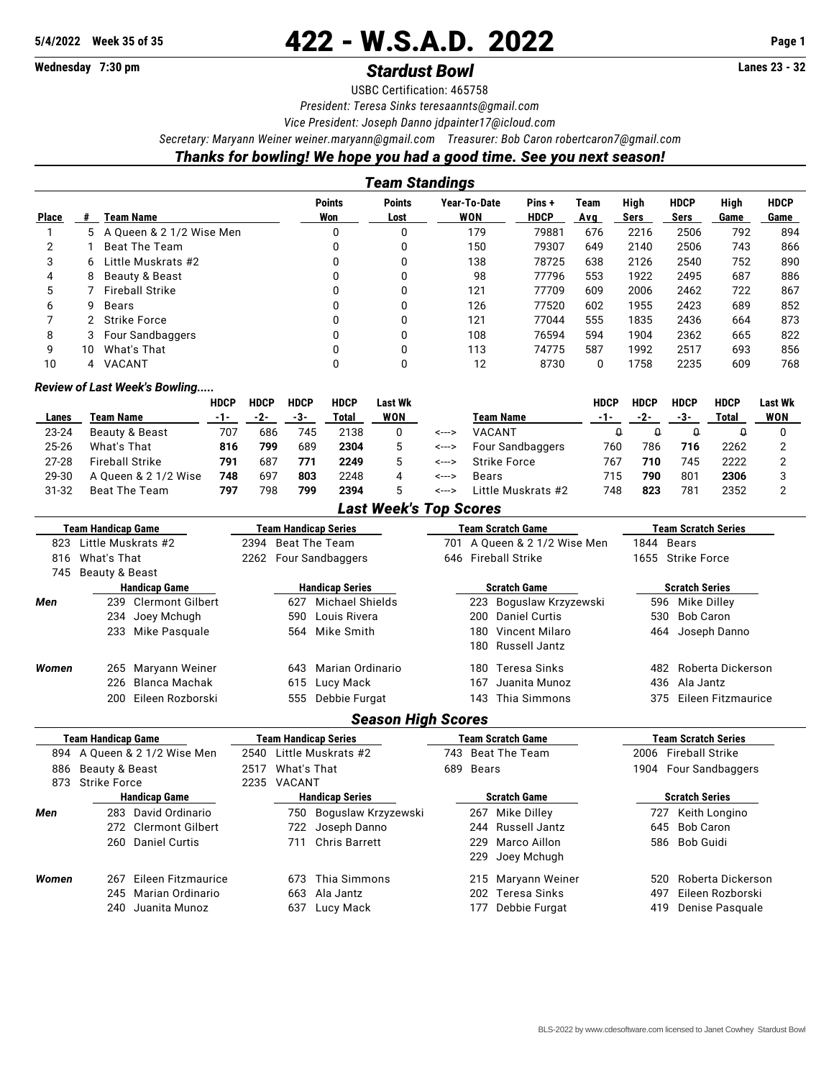# 5/4/2022 Week 35 of 35 **422 - W.S.A.D. 2022** Page 1

# **Wednesday 7:30 pm** *Stardust Bowl* **Lanes 23 - 32**

USBC Certification: 465758

*President: Teresa Sinks [teresaannts@gmail.com](mailto:teresaannts@gmail.com)*

*Vice President: Joseph Danno [jdpainter17@icloud.com](mailto:jdpainter17@icloud.com)*

*Secretary: Maryann Weiner [weiner.maryann@gmail.com](mailto:weiner.maryann@gmail.com) Treasurer: Bob Caron [robertcaron7@gmail.com](mailto:robertcaron7@gmail.com)*

## *Thanks for bowling! We hope you had a good time. See you next season!*

| Team Standings |    |                          |                      |                       |                            |                      |             |              |                     |              |                     |
|----------------|----|--------------------------|----------------------|-----------------------|----------------------------|----------------------|-------------|--------------|---------------------|--------------|---------------------|
| <b>Place</b>   |    | Team Name                | <b>Points</b><br>Won | <b>Points</b><br>Lost | Year-To-Date<br><b>WON</b> | Pins+<br><b>HDCP</b> | Team<br>Ava | High<br>Sers | <b>HDCP</b><br>Sers | High<br>Game | <b>HDCP</b><br>Game |
|                | 5. | A Queen & 2 1/2 Wise Men | 0                    |                       | 179                        | 79881                | 676         | 2216         | 2506                | 792          | 894                 |
|                |    | <b>Beat The Team</b>     | 0                    |                       | 150                        | 79307                | 649         | 2140         | 2506                | 743          | 866                 |
| 3              | 6. | Little Muskrats #2       | 0                    |                       | 138                        | 78725                | 638         | 2126         | 2540                | 752          | 890                 |
| 4              | 8  | Beauty & Beast           |                      |                       | 98                         | 77796                | 553         | 1922         | 2495                | 687          | 886                 |
| 5              |    | <b>Fireball Strike</b>   | 0                    |                       | 121                        | 77709                | 609         | 2006         | 2462                | 722          | 867                 |
| 6              | 9  | Bears                    | <sup>0</sup>         | 0                     | 126                        | 77520                | 602         | 1955         | 2423                | 689          | 852                 |
|                |    | <b>Strike Force</b>      | 0                    |                       | 121                        | 77044                | 555         | 1835         | 2436                | 664          | 873                 |
| 8              |    | Four Sandbaggers         | <sup>0</sup>         |                       | 108                        | 76594                | 594         | 1904         | 2362                | 665          | 822                 |
| 9              | 10 | What's That              |                      |                       | 113                        | 74775                | 587         | 1992         | 2517                | 693          | 856                 |
| 10             | 4  | VACANT                   | 0                    |                       | 12                         | 8730                 | 0           | 1758         | 2235                | 609          | 768                 |

#### *Review of Last Week's Bowling.....*

|           |                        | HDCP | <b>HDCP</b> | <b>HDCP</b> | <b>HDCP</b> | Last Wk    |       |                    | <b>HDCP</b> | HDCP | <b>HDCP</b> | <b>HDCP</b> | Last Wk |
|-----------|------------------------|------|-------------|-------------|-------------|------------|-------|--------------------|-------------|------|-------------|-------------|---------|
| Lanes     | Team Name              | -1-  | -2-         | -3-         | Total       | <b>WON</b> |       | Team Name          | $-1-$       | -2-  | -3-         | Total       | WON     |
| 23-24     | Beauty & Beast         | 707  | 686         | 745         | 2138        |            | <---> | VACANT             |             |      |             |             |         |
| 25-26     | What's That            | 816  | 799         | 689         | 2304        |            | <---> | Four Sandbaggers   | 760         | 786  | 716         | 2262        |         |
| $27-28$   | <b>Fireball Strike</b> | 791  | 687         | 771         | 2249        | 5          | <---> | Strike Force       | 767         | 710  | 745         | 2222        |         |
| 29-30     | A Queen & 2 1/2 Wise   | 748  | 697         | 803         | 2248        | 4          | <---> | Bears              | 715         | 790  | 801         | 2306        |         |
| $31 - 32$ | Beat The Team          | 797  | 798         | 799         | 2394        |            | <---> | Little Muskrats #2 | 748         | 823  | 781         | 2352        |         |

### *Last Week's Top Scores*

|       | Team Handicap Game             | <b>Team Handicap Series</b>   | Team Scratch Game             | <b>Team Scratch Series</b>     |  |  |  |
|-------|--------------------------------|-------------------------------|-------------------------------|--------------------------------|--|--|--|
| 823   | Little Muskrats #2             | 2394 Beat The Team            | 701 A Queen & 2 1/2 Wise Men  | 1844 Bears                     |  |  |  |
| 816   | What's That                    | Four Sandbaggers<br>2262      | <b>Fireball Strike</b><br>646 | 1655<br><b>Strike Force</b>    |  |  |  |
| 745   | Beauty & Beast                 |                               |                               |                                |  |  |  |
|       | <b>Handicap Game</b>           | <b>Handicap Series</b>        | <b>Scratch Game</b>           | <b>Scratch Series</b>          |  |  |  |
| Men   | <b>Clermont Gilbert</b><br>239 | <b>Michael Shields</b><br>627 | Boguslaw Krzyzewski<br>223    | Mike Dilley<br>596             |  |  |  |
|       | Joey Mchugh<br>234             | Louis Rivera<br>590           | <b>Daniel Curtis</b><br>200   | <b>Bob Caron</b><br>530        |  |  |  |
|       | Mike Pasquale<br>233           | Mike Smith<br>564             | Vincent Milaro<br>180         | Joseph Danno<br>464            |  |  |  |
|       |                                |                               | Russell Jantz<br>180          |                                |  |  |  |
| Women | Maryann Weiner<br>265          | Marian Ordinario<br>643       | Teresa Sinks<br>180           | Roberta Dickerson<br>482       |  |  |  |
|       | <b>Blanca Machak</b><br>226    | 615<br>Lucy Mack              | Juanita Munoz<br>167          | Ala Jantz<br>436               |  |  |  |
|       | Eileen Rozborski<br>200        | 555<br>Debbie Furgat          | Thia Simmons<br>143           | Eileen Fitzmaurice<br>375      |  |  |  |
|       |                                | <b>Season High Scores</b>     |                               |                                |  |  |  |
|       | <b>Team Handicap Game</b>      | <b>Team Handicap Series</b>   | <b>Team Scratch Game</b>      | <b>Team Scratch Series</b>     |  |  |  |
| 894   | A Queen & 2 1/2 Wise Men       | Little Muskrats #2<br>2540    | Beat The Team<br>743          | <b>Fireball Strike</b><br>2006 |  |  |  |
| 886   | Beauty & Beast                 | What's That<br>2517           | <b>Bears</b><br>689           | Four Sandbaggers<br>1904       |  |  |  |
| 873   | <b>Strike Force</b>            | <b>VACANT</b><br>2235         |                               |                                |  |  |  |
|       | <b>Handicap Game</b>           | <b>Handicap Series</b>        | <b>Scratch Game</b>           | <b>Scratch Series</b>          |  |  |  |
| Men   | David Ordinario<br>283         | Boguslaw Krzyzewski<br>750    | Mike Dilley<br>267            | Keith Longino<br>727           |  |  |  |
|       | <b>Clermont Gilbert</b><br>272 | Joseph Danno<br>722           | Russell Jantz<br>244          | <b>Bob Caron</b><br>645        |  |  |  |
|       | <b>Daniel Curtis</b><br>260    | <b>Chris Barrett</b><br>711   | Marco Aillon<br>229           | <b>Bob Guidi</b><br>586        |  |  |  |
|       |                                |                               | Joey Mchugh<br>229            |                                |  |  |  |
| Women | Eileen Fitzmaurice<br>267      | Thia Simmons<br>673           | Maryann Weiner<br>215         | Roberta Dickerson<br>520       |  |  |  |
|       | Marian Ordinario<br>245        | 663<br>Ala Jantz              | <b>Teresa Sinks</b><br>202    | Eileen Rozborski<br>497        |  |  |  |
|       | Juanita Munoz<br>240           | Lucy Mack<br>637              | Debbie Furgat<br>177          | 419<br>Denise Pasquale         |  |  |  |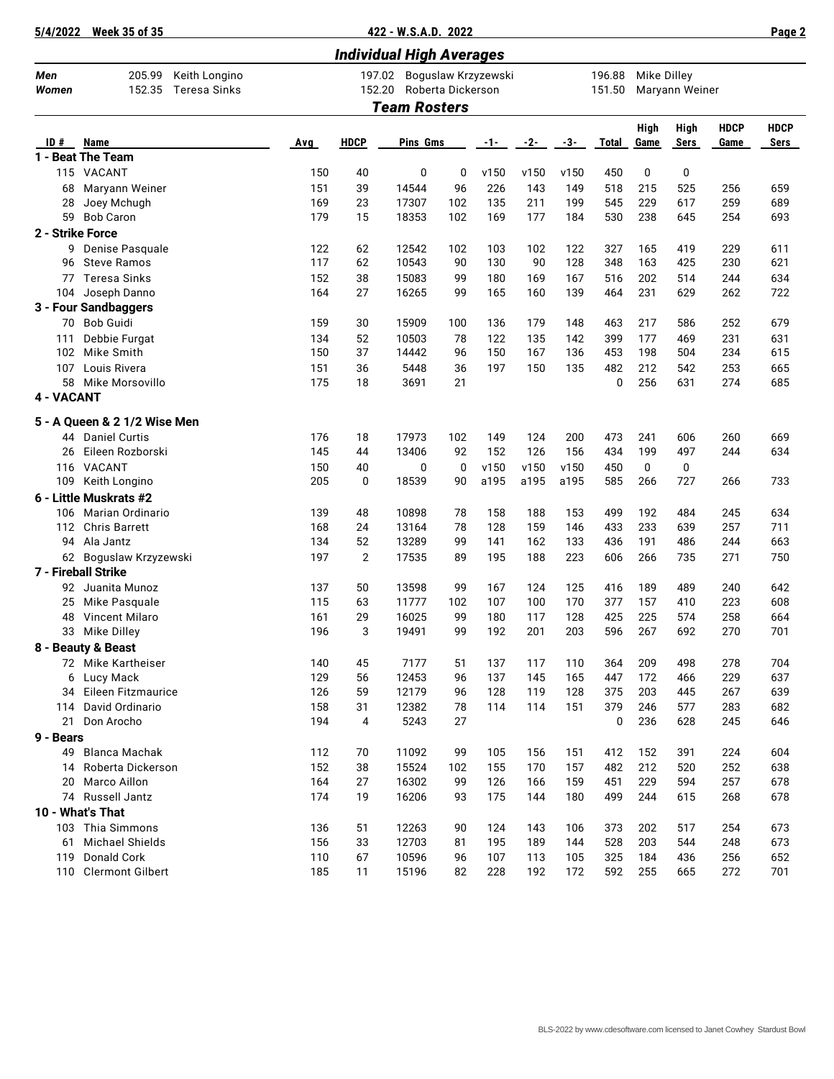|  | 5/4/2022 Week 35 of 35 |  |
|--|------------------------|--|
|  |                        |  |

**5/4/2022 Week 35 of 35 422 - W.S.A.D. 2022 Page 2**

| <b>Individual High Averages</b> |                                                          |            |                                                              |                     |          |            |            |            |              |                               |                     |                     |                     |
|---------------------------------|----------------------------------------------------------|------------|--------------------------------------------------------------|---------------------|----------|------------|------------|------------|--------------|-------------------------------|---------------------|---------------------|---------------------|
| Men<br>Women                    | 205.99<br>Keith Longino<br>152.35<br><b>Teresa Sinks</b> |            | 197.02<br>Boguslaw Krzyzewski<br>152.20<br>Roberta Dickerson |                     |          |            |            |            |              | Mike Dilley<br>Maryann Weiner |                     |                     |                     |
|                                 |                                                          |            |                                                              | <b>Team Rosters</b> |          |            |            |            | 151.50       |                               |                     |                     |                     |
| ID#                             | Name                                                     | Avg        | <b>HDCP</b>                                                  | Pins Gms            |          | $-1-$      | $-2-$      | -3-        | <b>Total</b> | High<br>Game                  | High<br><b>Sers</b> | <b>HDCP</b><br>Game | <b>HDCP</b><br>Sers |
|                                 | 1 - Beat The Team                                        |            |                                                              |                     |          |            |            |            |              |                               |                     |                     |                     |
|                                 | 115 VACANT                                               | 150        | 40                                                           | 0                   | 0        | v150       | v150       | v150       | 450          | 0                             | 0                   |                     |                     |
| 68                              | Maryann Weiner                                           | 151        | 39                                                           | 14544               | 96       | 226        | 143        | 149        | 518          | 215                           | 525                 | 256                 | 659                 |
| 28                              | Joey Mchugh                                              | 169        | 23                                                           | 17307               | 102      | 135        | 211        | 199        | 545          | 229                           | 617                 | 259                 | 689                 |
| 59                              | <b>Bob Caron</b>                                         | 179        | 15                                                           | 18353               | 102      | 169        | 177        | 184        | 530          | 238                           | 645                 | 254                 | 693                 |
| 2 - Strike Force                |                                                          |            |                                                              |                     |          |            |            |            |              |                               |                     |                     |                     |
| 9                               | Denise Pasquale                                          | 122        | 62                                                           | 12542               | 102      | 103        | 102        | 122        | 327          | 165                           | 419                 | 229                 | 611                 |
| 96                              | <b>Steve Ramos</b>                                       | 117        | 62                                                           | 10543               | 90       | 130        | 90         | 128        | 348          | 163                           | 425                 | 230                 | 621                 |
| 77                              | <b>Teresa Sinks</b>                                      | 152        | 38                                                           | 15083               | 99       | 180        | 169        | 167        | 516          | 202                           | 514                 | 244                 | 634                 |
| 104                             | Joseph Danno                                             | 164        | 27                                                           | 16265               | 99       | 165        | 160        | 139        | 464          | 231                           | 629                 | 262                 | 722                 |
|                                 | 3 - Four Sandbaggers                                     |            |                                                              |                     |          |            |            |            |              |                               |                     |                     |                     |
| 70                              | <b>Bob Guidi</b>                                         | 159        | 30                                                           | 15909               | 100      | 136        | 179        | 148        | 463          | 217                           | 586                 | 252                 | 679                 |
| 111                             | Debbie Furgat                                            | 134        | 52                                                           | 10503               | 78       | 122        | 135        | 142        | 399          | 177                           | 469                 | 231                 | 631                 |
| 102                             | Mike Smith                                               | 150        | 37                                                           | 14442               | 96       | 150        | 167        | 136        | 453          | 198                           | 504                 | 234                 | 615                 |
| 107                             | Louis Rivera                                             | 151        | 36                                                           | 5448                | 36       | 197        | 150        | 135        | 482          | 212                           | 542                 | 253                 | 665                 |
| 58                              | Mike Morsovillo                                          | 175        | 18                                                           | 3691                | 21       |            |            |            | 0            | 256                           | 631                 | 274                 | 685                 |
| 4 - VACANT                      |                                                          |            |                                                              |                     |          |            |            |            |              |                               |                     |                     |                     |
|                                 | 5 - A Queen & 2 1/2 Wise Men                             |            |                                                              |                     |          |            |            |            |              |                               |                     |                     |                     |
|                                 | 44 Daniel Curtis                                         | 176        | 18                                                           | 17973               | 102      | 149        | 124        | 200        | 473          | 241                           | 606                 | 260                 | 669                 |
| 26                              | Eileen Rozborski                                         | 145        | 44                                                           | 13406               | 92       | 152        | 126        | 156        | 434          | 199                           | 497                 | 244                 | 634                 |
| 116                             | VACANT                                                   | 150        | 40                                                           | 0                   | 0        | v150       | v150       | v150       | 450          | 0                             | 0                   |                     |                     |
| 109                             | Keith Longino                                            | 205        | 0                                                            | 18539               | 90       | a195       | a195       | a195       | 585          | 266                           | 727                 | 266                 | 733                 |
|                                 | 6 - Little Muskrats #2                                   |            |                                                              |                     |          |            |            |            |              |                               |                     |                     |                     |
| 106                             | Marian Ordinario                                         | 139        | 48                                                           | 10898               | 78       | 158        | 188        | 153        | 499          | 192                           | 484                 | 245                 | 634                 |
|                                 | 112 Chris Barrett                                        | 168        | 24                                                           | 13164               | 78       | 128        | 159        | 146        | 433          | 233                           | 639                 | 257                 | 711                 |
| 94                              | Ala Jantz                                                | 134        | 52                                                           | 13289               | 99       | 141        | 162        | 133        | 436          | 191                           | 486                 | 244                 | 663                 |
|                                 | 62 Boguslaw Krzyzewski                                   | 197        | 2                                                            | 17535               | 89       | 195        | 188        | 223        | 606          | 266                           | 735                 | 271                 | 750                 |
|                                 | 7 - Fireball Strike                                      |            |                                                              |                     |          |            |            |            |              |                               |                     |                     |                     |
| 92                              | Juanita Munoz                                            | 137        | 50                                                           | 13598               | 99       | 167        | 124        | 125        | 416          | 189                           | 489                 | 240                 | 642                 |
| 25                              | Mike Pasquale                                            | 115        | 63                                                           | 11777               | 102      | 107        | 100        | 170        | 377          | 157                           | 410                 | 223                 | 608                 |
| 48                              | Vincent Milaro                                           | 161        | 29<br>3                                                      | 16025               | 99       | 180        | 117<br>201 | 128<br>203 | 425<br>596   | 225<br>267                    | 574                 | 258<br>270          | 664                 |
| 33                              | Mike Dilley                                              | 196        |                                                              | 19491               | 99       | 192        |            |            |              |                               | 692                 |                     | 701                 |
|                                 | 8 - Beauty & Beast                                       |            |                                                              |                     |          |            |            |            |              |                               |                     |                     |                     |
| 6                               | 72 Mike Kartheiser<br>Lucy Mack                          | 140<br>129 | 45<br>56                                                     | 7177<br>12453       | 51<br>96 | 137<br>137 | 117<br>145 | 110<br>165 | 364<br>447   | 209<br>172                    | 498<br>466          | 278<br>229          | 704<br>637          |
| 34                              | Eileen Fitzmaurice                                       | 126        | 59                                                           | 12179               | 96       | 128        | 119        | 128        | 375          | 203                           | 445                 | 267                 | 639                 |
| 114                             | David Ordinario                                          | 158        | 31                                                           | 12382               | 78       | 114        | 114        | 151        | 379          | 246                           | 577                 | 283                 | 682                 |
| 21                              | Don Arocho                                               | 194        | 4                                                            | 5243                | 27       |            |            |            | 0            | 236                           | 628                 | 245                 | 646                 |
| 9 - Bears                       |                                                          |            |                                                              |                     |          |            |            |            |              |                               |                     |                     |                     |
| 49                              | <b>Blanca Machak</b>                                     | 112        | 70                                                           | 11092               | 99       | 105        | 156        | 151        | 412          | 152                           | 391                 | 224                 | 604                 |
| 14                              | Roberta Dickerson                                        | 152        | 38                                                           | 15524               | 102      | 155        | 170        | 157        | 482          | 212                           | 520                 | 252                 | 638                 |
| 20                              | Marco Aillon                                             | 164        | 27                                                           | 16302               | 99       | 126        | 166        | 159        | 451          | 229                           | 594                 | 257                 | 678                 |
|                                 | 74 Russell Jantz                                         | 174        | 19                                                           | 16206               | 93       | 175        | 144        | 180        | 499          | 244                           | 615                 | 268                 | 678                 |
|                                 | 10 - What's That                                         |            |                                                              |                     |          |            |            |            |              |                               |                     |                     |                     |
|                                 | 103 Thia Simmons                                         | 136        | 51                                                           | 12263               | 90       | 124        | 143        | 106        | 373          | 202                           | 517                 | 254                 | 673                 |
| 61                              | Michael Shields                                          | 156        | 33                                                           | 12703               | 81       | 195        | 189        | 144        | 528          | 203                           | 544                 | 248                 | 673                 |
| 119                             | Donald Cork                                              | 110        | 67                                                           | 10596               | 96       | 107        | 113        | 105        | 325          | 184                           | 436                 | 256                 | 652                 |
| 110                             | <b>Clermont Gilbert</b>                                  | 185        | 11                                                           | 15196               | 82       | 228        | 192        | 172        | 592          | 255                           | 665                 | 272                 | 701                 |